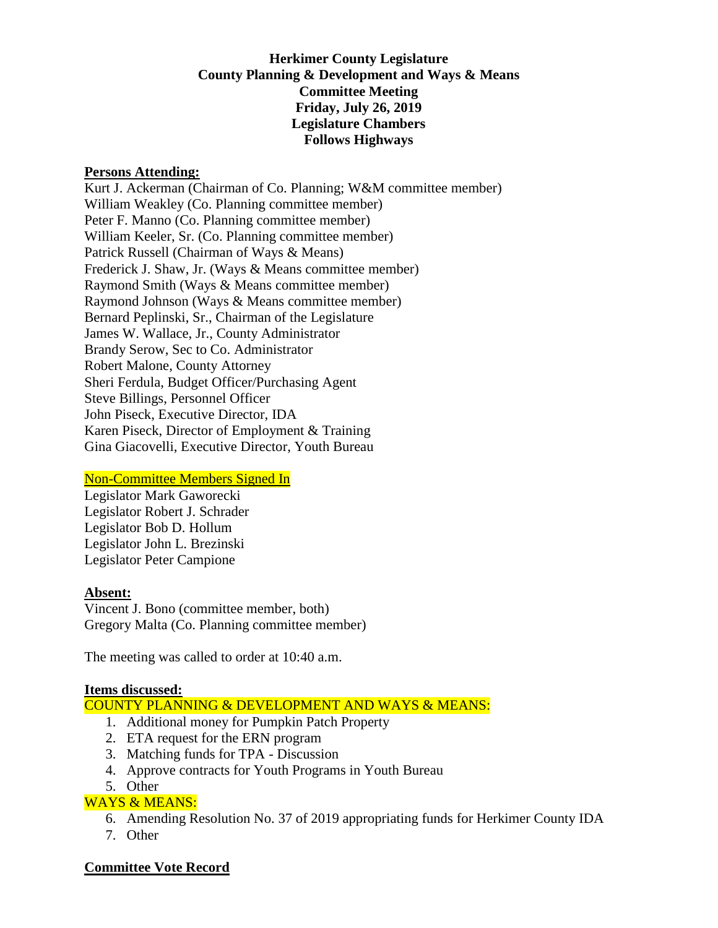# **Herkimer County Legislature County Planning & Development and Ways & Means Committee Meeting Friday, July 26, 2019 Legislature Chambers Follows Highways**

#### **Persons Attending:**

Kurt J. Ackerman (Chairman of Co. Planning; W&M committee member) William Weakley (Co. Planning committee member) Peter F. Manno (Co. Planning committee member) William Keeler, Sr. (Co. Planning committee member) Patrick Russell (Chairman of Ways & Means) Frederick J. Shaw, Jr. (Ways & Means committee member) Raymond Smith (Ways & Means committee member) Raymond Johnson (Ways & Means committee member) Bernard Peplinski, Sr., Chairman of the Legislature James W. Wallace, Jr., County Administrator Brandy Serow, Sec to Co. Administrator Robert Malone, County Attorney Sheri Ferdula, Budget Officer/Purchasing Agent Steve Billings, Personnel Officer John Piseck, Executive Director, IDA Karen Piseck, Director of Employment & Training Gina Giacovelli, Executive Director, Youth Bureau

### Non-Committee Members Signed In

Legislator Mark Gaworecki Legislator Robert J. Schrader Legislator Bob D. Hollum Legislator John L. Brezinski Legislator Peter Campione

#### **Absent:**

Vincent J. Bono (committee member, both) Gregory Malta (Co. Planning committee member)

The meeting was called to order at 10:40 a.m.

#### **Items discussed:**

COUNTY PLANNING & DEVELOPMENT AND WAYS & MEANS:

- 1. Additional money for Pumpkin Patch Property
- 2. ETA request for the ERN program
- 3. Matching funds for TPA Discussion
- 4. Approve contracts for Youth Programs in Youth Bureau
- 5. Other

# WAYS & MEANS:

- 6. Amending Resolution No. 37 of 2019 appropriating funds for Herkimer County IDA
- 7. Other

#### **Committee Vote Record**